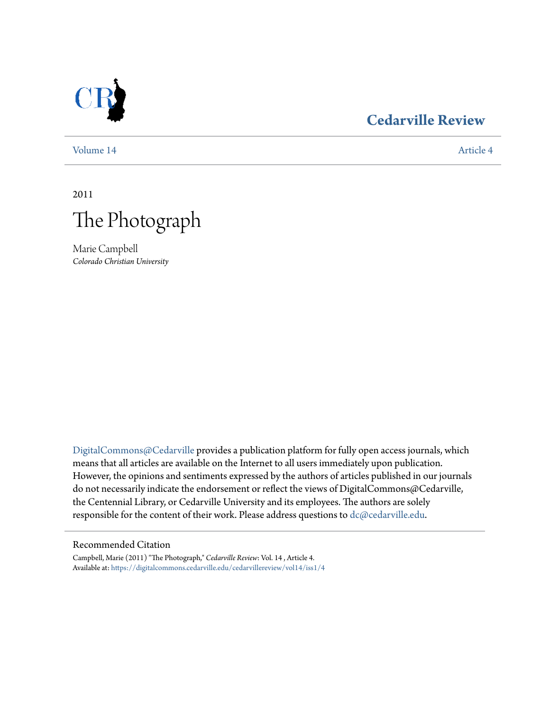

## **[Cedarville Review](https://digitalcommons.cedarville.edu/cedarvillereview?utm_source=digitalcommons.cedarville.edu%2Fcedarvillereview%2Fvol14%2Fiss1%2F4&utm_medium=PDF&utm_campaign=PDFCoverPages)**

[Volume 14](https://digitalcommons.cedarville.edu/cedarvillereview/vol14?utm_source=digitalcommons.cedarville.edu%2Fcedarvillereview%2Fvol14%2Fiss1%2F4&utm_medium=PDF&utm_campaign=PDFCoverPages) [Article 4](https://digitalcommons.cedarville.edu/cedarvillereview/vol14/iss1/4?utm_source=digitalcommons.cedarville.edu%2Fcedarvillereview%2Fvol14%2Fiss1%2F4&utm_medium=PDF&utm_campaign=PDFCoverPages)

2011



Marie Campbell *Colorado Christian University*

[DigitalCommons@Cedarville](http://digitalcommons.cedarville.edu) provides a publication platform for fully open access journals, which means that all articles are available on the Internet to all users immediately upon publication. However, the opinions and sentiments expressed by the authors of articles published in our journals do not necessarily indicate the endorsement or reflect the views of DigitalCommons@Cedarville, the Centennial Library, or Cedarville University and its employees. The authors are solely responsible for the content of their work. Please address questions to [dc@cedarville.edu](mailto:dc@cedarville.edu).

#### Recommended Citation

Campbell, Marie (2011) "The Photograph," *Cedarville Review*: Vol. 14 , Article 4. Available at: [https://digitalcommons.cedarville.edu/cedarvillereview/vol14/iss1/4](https://digitalcommons.cedarville.edu/cedarvillereview/vol14/iss1/4?utm_source=digitalcommons.cedarville.edu%2Fcedarvillereview%2Fvol14%2Fiss1%2F4&utm_medium=PDF&utm_campaign=PDFCoverPages)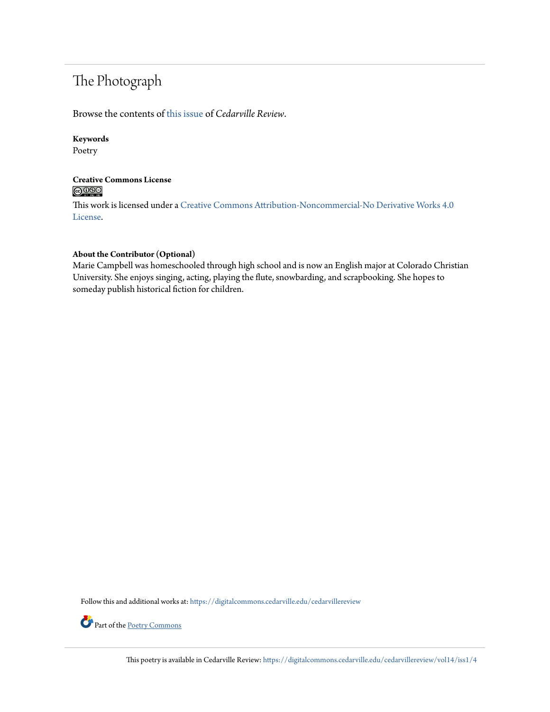# The Photograph

Browse the contents of [this issue](https://digitalcommons.cedarville.edu/cedarvillereview/vol14/iss1) of *Cedarville Review*.

#### **Keywords**

Poetry

#### **Creative Commons License**  $\bigcirc$   $\circ$

This work is licensed under a [Creative Commons Attribution-Noncommercial-No Derivative Works 4.0](http://creativecommons.org/licenses/by-nc-nd/4.0/) [License.](http://creativecommons.org/licenses/by-nc-nd/4.0/)

#### **About the Contributor (Optional)**

Marie Campbell was homeschooled through high school and is now an English major at Colorado Christian University. She enjoys singing, acting, playing the flute, snowbarding, and scrapbooking. She hopes to someday publish historical fiction for children.

Follow this and additional works at: [https://digitalcommons.cedarville.edu/cedarvillereview](https://digitalcommons.cedarville.edu/cedarvillereview?utm_source=digitalcommons.cedarville.edu%2Fcedarvillereview%2Fvol14%2Fiss1%2F4&utm_medium=PDF&utm_campaign=PDFCoverPages)



Part of the [Poetry Commons](http://network.bepress.com/hgg/discipline/1153?utm_source=digitalcommons.cedarville.edu%2Fcedarvillereview%2Fvol14%2Fiss1%2F4&utm_medium=PDF&utm_campaign=PDFCoverPages)